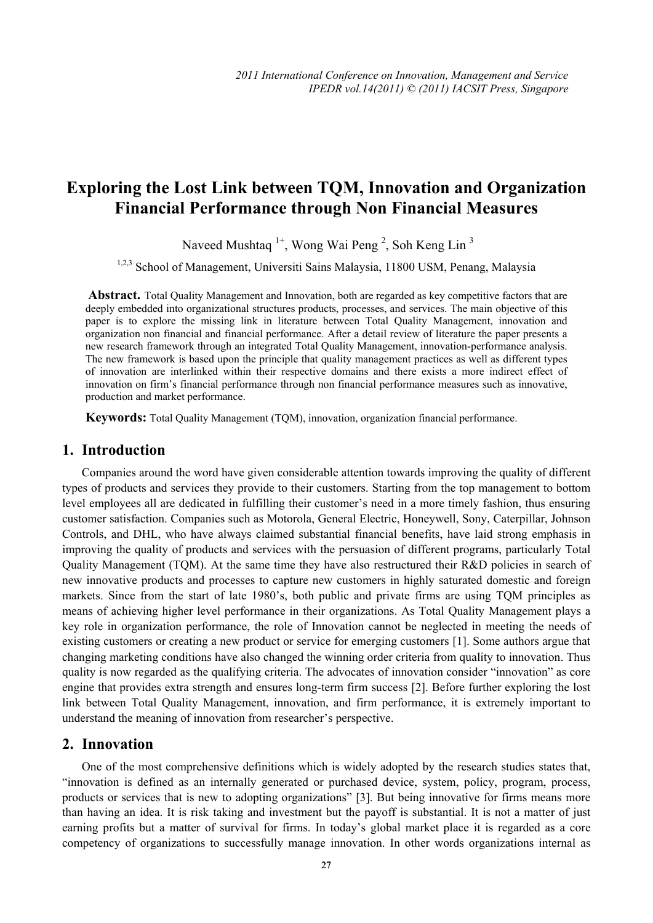# **Exploring the Lost Link between TQM, Innovation and Organization Financial Performance through Non Financial Measures**

Naveed Mushtaq <sup>1+</sup>, Wong Wai Peng <sup>2</sup>, Soh Keng Lin<sup>3</sup>

<sup>1,2,3</sup> School of Management, Universiti Sains Malaysia, 11800 USM, Penang, Malaysia

**Abstract.** Total Quality Management and Innovation, both are regarded as key competitive factors that are deeply embedded into organizational structures products, processes, and services. The main objective of this paper is to explore the missing link in literature between Total Quality Management, innovation and organization non financial and financial performance. After a detail review of literature the paper presents a new research framework through an integrated Total Quality Management, innovation-performance analysis. The new framework is based upon the principle that quality management practices as well as different types of innovation are interlinked within their respective domains and there exists a more indirect effect of innovation on firm's financial performance through non financial performance measures such as innovative, production and market performance.

**Keywords:** Total Quality Management (TQM), innovation, organization financial performance.

# **1. Introduction**

Companies around the word have given considerable attention towards improving the quality of different types of products and services they provide to their customers. Starting from the top management to bottom level employees all are dedicated in fulfilling their customer's need in a more timely fashion, thus ensuring customer satisfaction. Companies such as Motorola, General Electric, Honeywell, Sony, Caterpillar, Johnson Controls, and DHL, who have always claimed substantial financial benefits, have laid strong emphasis in improving the quality of products and services with the persuasion of different programs, particularly Total Quality Management (TQM). At the same time they have also restructured their R&D policies in search of new innovative products and processes to capture new customers in highly saturated domestic and foreign markets. Since from the start of late 1980's, both public and private firms are using TQM principles as means of achieving higher level performance in their organizations. As Total Quality Management plays a key role in organization performance, the role of Innovation cannot be neglected in meeting the needs of existing customers or creating a new product or service for emerging customers [1]. Some authors argue that changing marketing conditions have also changed the winning order criteria from quality to innovation. Thus quality is now regarded as the qualifying criteria. The advocates of innovation consider "innovation" as core engine that provides extra strength and ensures long-term firm success [2]. Before further exploring the lost link between Total Quality Management, innovation, and firm performance, it is extremely important to understand the meaning of innovation from researcher's perspective.

#### **2. Innovation**

One of the most comprehensive definitions which is widely adopted by the research studies states that, "innovation is defined as an internally generated or purchased device, system, policy, program, process, products or services that is new to adopting organizations" [3]. But being innovative for firms means more than having an idea. It is risk taking and investment but the payoff is substantial. It is not a matter of just earning profits but a matter of survival for firms. In today's global market place it is regarded as a core competency of organizations to successfully manage innovation. In other words organizations internal as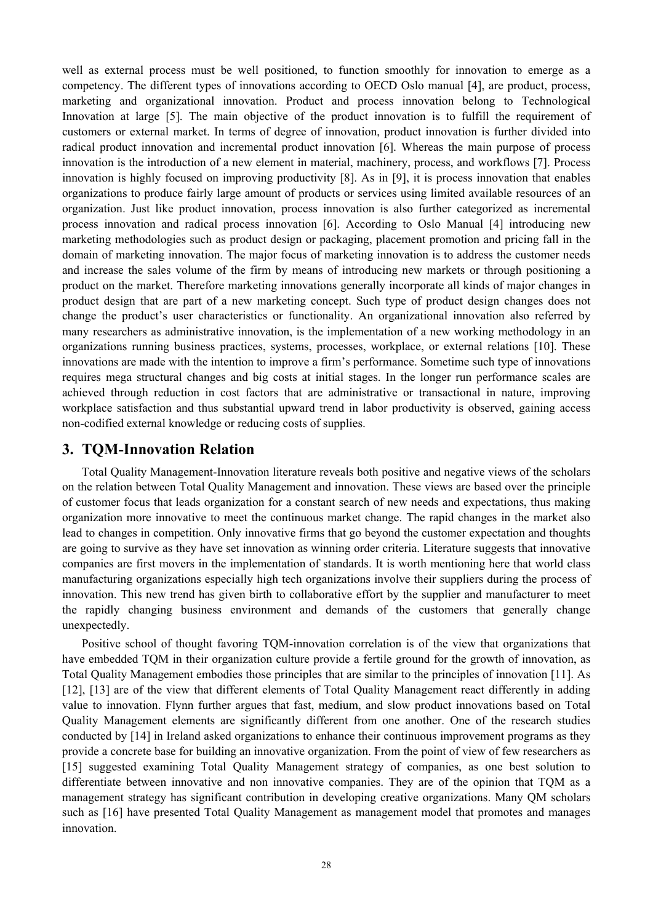well as external process must be well positioned, to function smoothly for innovation to emerge as a competency. The different types of innovations according to OECD Oslo manual [4], are product, process, marketing and organizational innovation. Product and process innovation belong to Technological Innovation at large [5]. The main objective of the product innovation is to fulfill the requirement of customers or external market. In terms of degree of innovation, product innovation is further divided into radical product innovation and incremental product innovation [6]. Whereas the main purpose of process innovation is the introduction of a new element in material, machinery, process, and workflows [7]. Process innovation is highly focused on improving productivity [8]. As in [9], it is process innovation that enables organizations to produce fairly large amount of products or services using limited available resources of an organization. Just like product innovation, process innovation is also further categorized as incremental process innovation and radical process innovation [6]. According to Oslo Manual [4] introducing new marketing methodologies such as product design or packaging, placement promotion and pricing fall in the domain of marketing innovation. The major focus of marketing innovation is to address the customer needs and increase the sales volume of the firm by means of introducing new markets or through positioning a product on the market. Therefore marketing innovations generally incorporate all kinds of major changes in product design that are part of a new marketing concept. Such type of product design changes does not change the product's user characteristics or functionality. An organizational innovation also referred by many researchers as administrative innovation, is the implementation of a new working methodology in an organizations running business practices, systems, processes, workplace, or external relations [10]. These innovations are made with the intention to improve a firm's performance. Sometime such type of innovations requires mega structural changes and big costs at initial stages. In the longer run performance scales are achieved through reduction in cost factors that are administrative or transactional in nature, improving workplace satisfaction and thus substantial upward trend in labor productivity is observed, gaining access non-codified external knowledge or reducing costs of supplies.

#### **3. TQM-Innovation Relation**

Total Quality Management-Innovation literature reveals both positive and negative views of the scholars on the relation between Total Quality Management and innovation. These views are based over the principle of customer focus that leads organization for a constant search of new needs and expectations, thus making organization more innovative to meet the continuous market change. The rapid changes in the market also lead to changes in competition. Only innovative firms that go beyond the customer expectation and thoughts are going to survive as they have set innovation as winning order criteria. Literature suggests that innovative companies are first movers in the implementation of standards. It is worth mentioning here that world class manufacturing organizations especially high tech organizations involve their suppliers during the process of innovation. This new trend has given birth to collaborative effort by the supplier and manufacturer to meet the rapidly changing business environment and demands of the customers that generally change unexpectedly.

Positive school of thought favoring TQM-innovation correlation is of the view that organizations that have embedded TQM in their organization culture provide a fertile ground for the growth of innovation, as Total Quality Management embodies those principles that are similar to the principles of innovation [11]. As [12], [13] are of the view that different elements of Total Quality Management react differently in adding value to innovation. Flynn further argues that fast, medium, and slow product innovations based on Total Quality Management elements are significantly different from one another. One of the research studies conducted by [14] in Ireland asked organizations to enhance their continuous improvement programs as they provide a concrete base for building an innovative organization. From the point of view of few researchers as [15] suggested examining Total Quality Management strategy of companies, as one best solution to differentiate between innovative and non innovative companies. They are of the opinion that TQM as a management strategy has significant contribution in developing creative organizations. Many QM scholars such as [16] have presented Total Quality Management as management model that promotes and manages innovation.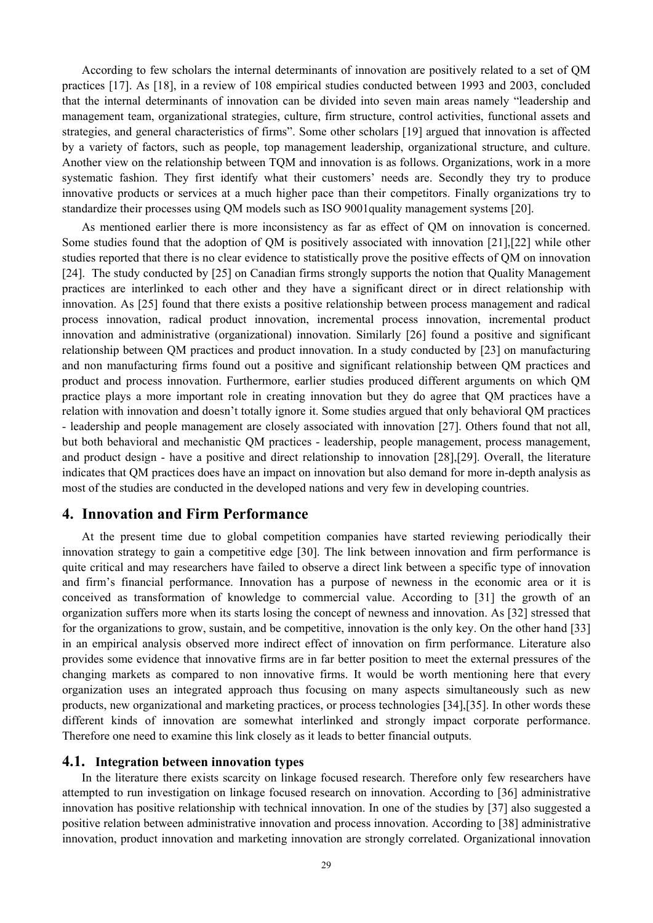According to few scholars the internal determinants of innovation are positively related to a set of QM practices [17]. As [18], in a review of 108 empirical studies conducted between 1993 and 2003, concluded that the internal determinants of innovation can be divided into seven main areas namely "leadership and management team, organizational strategies, culture, firm structure, control activities, functional assets and strategies, and general characteristics of firms". Some other scholars [19] argued that innovation is affected by a variety of factors, such as people, top management leadership, organizational structure, and culture. Another view on the relationship between TQM and innovation is as follows. Organizations, work in a more systematic fashion. They first identify what their customers' needs are. Secondly they try to produce innovative products or services at a much higher pace than their competitors. Finally organizations try to standardize their processes using QM models such as ISO 9001quality management systems [20].

As mentioned earlier there is more inconsistency as far as effect of QM on innovation is concerned. Some studies found that the adoption of QM is positively associated with innovation [21],[22] while other studies reported that there is no clear evidence to statistically prove the positive effects of QM on innovation [24]. The study conducted by [25] on Canadian firms strongly supports the notion that Quality Management practices are interlinked to each other and they have a significant direct or in direct relationship with innovation. As [25] found that there exists a positive relationship between process management and radical process innovation, radical product innovation, incremental process innovation, incremental product innovation and administrative (organizational) innovation. Similarly [26] found a positive and significant relationship between QM practices and product innovation. In a study conducted by [23] on manufacturing and non manufacturing firms found out a positive and significant relationship between QM practices and product and process innovation. Furthermore, earlier studies produced different arguments on which QM practice plays a more important role in creating innovation but they do agree that QM practices have a relation with innovation and doesn't totally ignore it. Some studies argued that only behavioral QM practices - leadership and people management are closely associated with innovation [27]. Others found that not all, but both behavioral and mechanistic QM practices - leadership, people management, process management, and product design - have a positive and direct relationship to innovation [28],[29]. Overall, the literature indicates that QM practices does have an impact on innovation but also demand for more in-depth analysis as most of the studies are conducted in the developed nations and very few in developing countries.

# **4. Innovation and Firm Performance**

At the present time due to global competition companies have started reviewing periodically their innovation strategy to gain a competitive edge [30]. The link between innovation and firm performance is quite critical and may researchers have failed to observe a direct link between a specific type of innovation and firm's financial performance. Innovation has a purpose of newness in the economic area or it is conceived as transformation of knowledge to commercial value. According to [31] the growth of an organization suffers more when its starts losing the concept of newness and innovation. As [32] stressed that for the organizations to grow, sustain, and be competitive, innovation is the only key. On the other hand [33] in an empirical analysis observed more indirect effect of innovation on firm performance. Literature also provides some evidence that innovative firms are in far better position to meet the external pressures of the changing markets as compared to non innovative firms. It would be worth mentioning here that every organization uses an integrated approach thus focusing on many aspects simultaneously such as new products, new organizational and marketing practices, or process technologies [34],[35]. In other words these different kinds of innovation are somewhat interlinked and strongly impact corporate performance. Therefore one need to examine this link closely as it leads to better financial outputs.

#### **4.1. Integration between innovation types**

In the literature there exists scarcity on linkage focused research. Therefore only few researchers have attempted to run investigation on linkage focused research on innovation. According to [36] administrative innovation has positive relationship with technical innovation. In one of the studies by [37] also suggested a positive relation between administrative innovation and process innovation. According to [38] administrative innovation, product innovation and marketing innovation are strongly correlated. Organizational innovation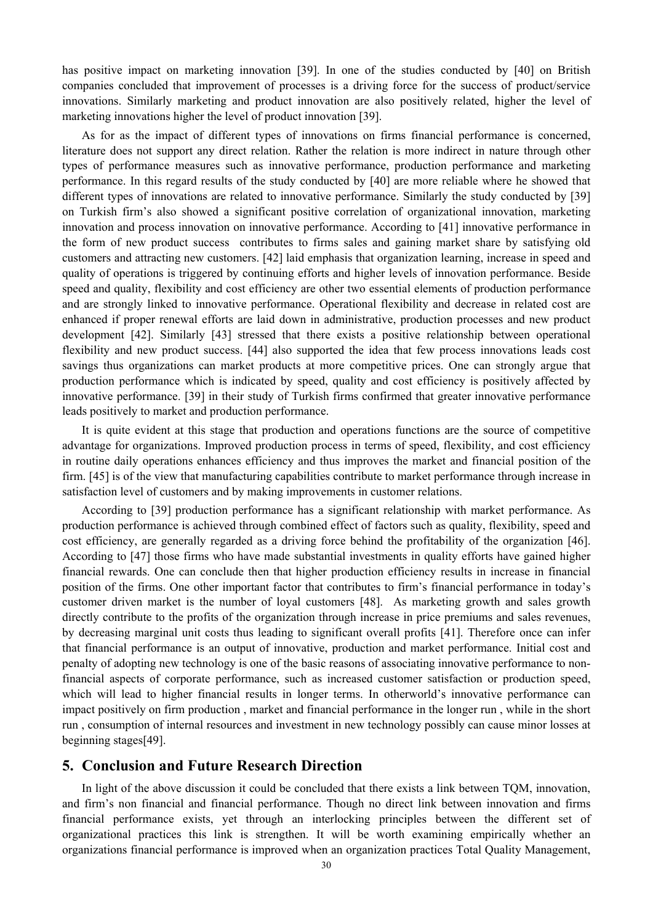has positive impact on marketing innovation [39]. In one of the studies conducted by [40] on British companies concluded that improvement of processes is a driving force for the success of product/service innovations. Similarly marketing and product innovation are also positively related, higher the level of marketing innovations higher the level of product innovation [39].

As for as the impact of different types of innovations on firms financial performance is concerned, literature does not support any direct relation. Rather the relation is more indirect in nature through other types of performance measures such as innovative performance, production performance and marketing performance. In this regard results of the study conducted by [40] are more reliable where he showed that different types of innovations are related to innovative performance. Similarly the study conducted by [39] on Turkish firm's also showed a significant positive correlation of organizational innovation, marketing innovation and process innovation on innovative performance. According to [41] innovative performance in the form of new product success contributes to firms sales and gaining market share by satisfying old customers and attracting new customers. [42] laid emphasis that organization learning, increase in speed and quality of operations is triggered by continuing efforts and higher levels of innovation performance. Beside speed and quality, flexibility and cost efficiency are other two essential elements of production performance and are strongly linked to innovative performance. Operational flexibility and decrease in related cost are enhanced if proper renewal efforts are laid down in administrative, production processes and new product development [42]. Similarly [43] stressed that there exists a positive relationship between operational flexibility and new product success. [44] also supported the idea that few process innovations leads cost savings thus organizations can market products at more competitive prices. One can strongly argue that production performance which is indicated by speed, quality and cost efficiency is positively affected by innovative performance. [39] in their study of Turkish firms confirmed that greater innovative performance leads positively to market and production performance.

It is quite evident at this stage that production and operations functions are the source of competitive advantage for organizations. Improved production process in terms of speed, flexibility, and cost efficiency in routine daily operations enhances efficiency and thus improves the market and financial position of the firm. [45] is of the view that manufacturing capabilities contribute to market performance through increase in satisfaction level of customers and by making improvements in customer relations.

According to [39] production performance has a significant relationship with market performance. As production performance is achieved through combined effect of factors such as quality, flexibility, speed and cost efficiency, are generally regarded as a driving force behind the profitability of the organization [46]. According to [47] those firms who have made substantial investments in quality efforts have gained higher financial rewards. One can conclude then that higher production efficiency results in increase in financial position of the firms. One other important factor that contributes to firm's financial performance in today's customer driven market is the number of loyal customers [48]. As marketing growth and sales growth directly contribute to the profits of the organization through increase in price premiums and sales revenues, by decreasing marginal unit costs thus leading to significant overall profits [41]. Therefore once can infer that financial performance is an output of innovative, production and market performance. Initial cost and penalty of adopting new technology is one of the basic reasons of associating innovative performance to nonfinancial aspects of corporate performance, such as increased customer satisfaction or production speed, which will lead to higher financial results in longer terms. In otherworld's innovative performance can impact positively on firm production , market and financial performance in the longer run , while in the short run , consumption of internal resources and investment in new technology possibly can cause minor losses at beginning stages[49].

#### **5. Conclusion and Future Research Direction**

In light of the above discussion it could be concluded that there exists a link between TQM, innovation, and firm's non financial and financial performance. Though no direct link between innovation and firms financial performance exists, yet through an interlocking principles between the different set of organizational practices this link is strengthen. It will be worth examining empirically whether an organizations financial performance is improved when an organization practices Total Quality Management,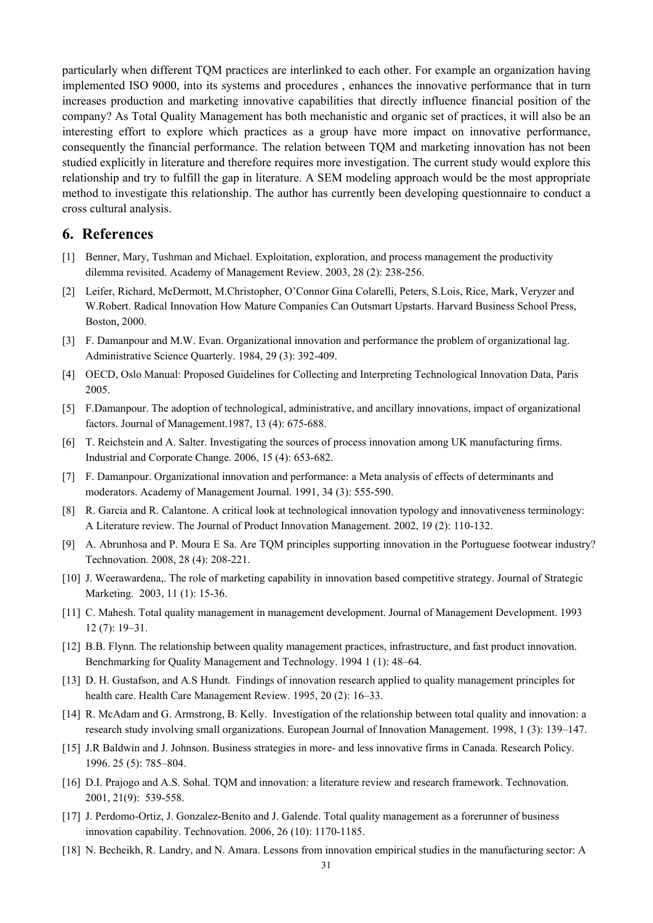particularly when different TQM practices are interlinked to each other. For example an organization having implemented ISO 9000, into its systems and procedures , enhances the innovative performance that in turn increases production and marketing innovative capabilities that directly influence financial position of the company? As Total Quality Management has both mechanistic and organic set of practices, it will also be an interesting effort to explore which practices as a group have more impact on innovative performance, consequently the financial performance. The relation between TQM and marketing innovation has not been studied explicitly in literature and therefore requires more investigation. The current study would explore this relationship and try to fulfill the gap in literature. A SEM modeling approach would be the most appropriate method to investigate this relationship. The author has currently been developing questionnaire to conduct a cross cultural analysis.

## **6. References**

- [1] Benner, Mary, Tushman and Michael. Exploitation, exploration, and process management the productivity dilemma revisited. Academy of Management Review. 2003, 28 (2): 238-256.
- [2] Leifer, Richard, McDermott, M.Christopher, O'Connor Gina Colarelli, Peters, S.Lois, Rice, Mark, Veryzer and W.Robert. Radical Innovation How Mature Companies Can Outsmart Upstarts. Harvard Business School Press, Boston, 2000.
- [3] F. Damanpour and M.W. Evan. Organizational innovation and performance the problem of organizational lag. Administrative Science Quarterly. 1984, 29 (3): 392-409.
- [4] OECD, Oslo Manual: Proposed Guidelines for Collecting and Interpreting Technological Innovation Data, Paris 2005.
- [5] F.Damanpour. The adoption of technological, administrative, and ancillary innovations, impact of organizational factors. Journal of Management.1987, 13 (4): 675-688.
- [6] T. Reichstein and A. Salter. Investigating the sources of process innovation among UK manufacturing firms. Industrial and Corporate Change. 2006, 15 (4): 653-682.
- [7] F. Damanpour. Organizational innovation and performance: a Meta analysis of effects of determinants and moderators. Academy of Management Journal. 1991, 34 (3): 555-590.
- [8] R. Garcia and R. Calantone. A critical look at technological innovation typology and innovativeness terminology: A Literature review. The Journal of Product Innovation Management. 2002, 19 (2): 110-132.
- [9] A. Abrunhosa and P. Moura E Sa. Are TQM principles supporting innovation in the Portuguese footwear industry? Technovation. 2008, 28 (4): 208-221.
- [10] J. Weerawardena,. The role of marketing capability in innovation based competitive strategy. Journal of Strategic Marketing. 2003, 11 (1): 15-36.
- [11] C. Mahesh. Total quality management in management development. Journal of Management Development. 1993 12 (7): 19–31.
- [12] B.B. Flynn. The relationship between quality management practices, infrastructure, and fast product innovation. Benchmarking for Quality Management and Technology. 1994 1 (1): 48–64.
- [13] D. H. Gustafson, and A.S Hundt. Findings of innovation research applied to quality management principles for health care. Health Care Management Review. 1995, 20 (2): 16–33.
- [14] R. McAdam and G. Armstrong, B. Kelly. Investigation of the relationship between total quality and innovation: a research study involving small organizations. European Journal of Innovation Management. 1998, 1 (3): 139–147.
- [15] J.R Baldwin and J. Johnson. Business strategies in more- and less innovative firms in Canada. Research Policy. 1996. 25 (5): 785–804.
- [16] D.I. Prajogo and A.S. Sohal. TQM and innovation: a literature review and research framework. Technovation. 2001, 21(9): 539-558.
- [17] J. Perdomo-Ortiz, J. Gonzalez-Benito and J. Galende. Total quality management as a forerunner of business innovation capability. Technovation. 2006, 26 (10): 1170-1185.
- [18] N. Becheikh, R. Landry, and N. Amara. Lessons from innovation empirical studies in the manufacturing sector: A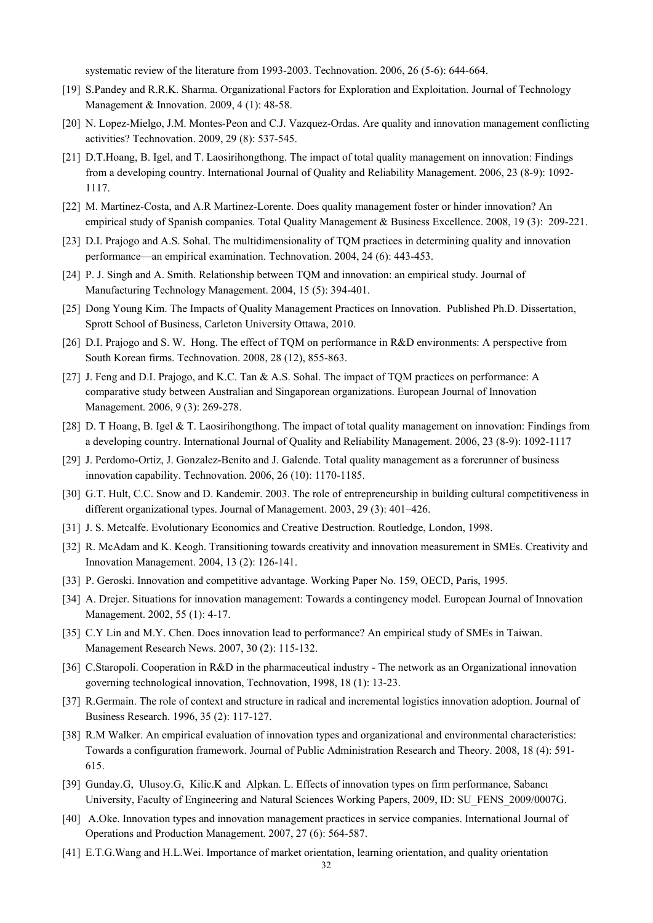systematic review of the literature from 1993-2003. Technovation. 2006, 26 (5-6): 644-664.

- [19] S.Pandey and R.R.K. Sharma. Organizational Factors for Exploration and Exploitation. Journal of Technology Management & Innovation. 2009, 4 (1): 48-58.
- [20] N. Lopez-Mielgo, J.M. Montes-Peon and C.J. Vazquez-Ordas. Are quality and innovation management conflicting activities? Technovation. 2009, 29 (8): 537-545.
- [21] D.T.Hoang, B. Igel, and T. Laosirihongthong. The impact of total quality management on innovation: Findings from a developing country. International Journal of Quality and Reliability Management. 2006, 23 (8-9): 1092- 1117.
- [22] M. Martinez-Costa, and A.R Martinez-Lorente. Does quality management foster or hinder innovation? An empirical study of Spanish companies. Total Quality Management & Business Excellence. 2008, 19 (3): 209-221.
- [23] D.I. Prajogo and A.S. Sohal. The multidimensionality of TQM practices in determining quality and innovation performance—an empirical examination. Technovation. 2004, 24 (6): 443-453.
- [24] P. J. Singh and A. Smith. Relationship between TQM and innovation: an empirical study. Journal of Manufacturing Technology Management. 2004, 15 (5): 394-401.
- [25] Dong Young Kim. The Impacts of Quality Management Practices on Innovation. Published Ph.D. Dissertation, Sprott School of Business, Carleton University Ottawa, 2010.
- [26] D.I. Prajogo and S. W. Hong. The effect of TQM on performance in R&D environments: A perspective from South Korean firms. Technovation. 2008, 28 (12), 855-863.
- [27] J. Feng and D.I. Prajogo, and K.C. Tan & A.S. Sohal. The impact of TQM practices on performance: A comparative study between Australian and Singaporean organizations. European Journal of Innovation Management. 2006, 9 (3): 269-278.
- [28] D. T Hoang, B. Igel & T. Laosirihongthong. The impact of total quality management on innovation: Findings from a developing country. International Journal of Quality and Reliability Management. 2006, 23 (8-9): 1092-1117
- [29] J. Perdomo-Ortiz, J. Gonzalez-Benito and J. Galende. Total quality management as a forerunner of business innovation capability. Technovation. 2006, 26 (10): 1170-1185.
- [30] G.T. Hult, C.C. Snow and D. Kandemir. 2003. The role of entrepreneurship in building cultural competitiveness in different organizational types. Journal of Management. 2003, 29 (3): 401–426.
- [31] J. S. Metcalfe. Evolutionary Economics and Creative Destruction. Routledge, London, 1998.
- [32] R. McAdam and K. Keogh. Transitioning towards creativity and innovation measurement in SMEs. Creativity and Innovation Management. 2004, 13 (2): 126-141.
- [33] P. Geroski. Innovation and competitive advantage. Working Paper No. 159, OECD, Paris, 1995.
- [34] A. Drejer. Situations for innovation management: Towards a contingency model. European Journal of Innovation Management. 2002, 55 (1): 4-17.
- [35] C.Y Lin and M.Y. Chen. Does innovation lead to performance? An empirical study of SMEs in Taiwan. Management Research News. 2007, 30 (2): 115-132.
- [36] C.Staropoli. Cooperation in R&D in the pharmaceutical industry The network as an Organizational innovation governing technological innovation, Technovation, 1998, 18 (1): 13-23.
- [37] R.Germain. The role of context and structure in radical and incremental logistics innovation adoption. Journal of Business Research. 1996, 35 (2): 117-127.
- [38] R.M Walker. An empirical evaluation of innovation types and organizational and environmental characteristics: Towards a configuration framework. Journal of Public Administration Research and Theory. 2008, 18 (4): 591- 615.
- [39] Gunday.G, Ulusoy.G, Kilic.K and Alpkan. L. Effects of innovation types on firm performance, Sabancı University, Faculty of Engineering and Natural Sciences Working Papers, 2009, ID: SU\_FENS\_2009/0007G.
- [40] A.Oke. Innovation types and innovation management practices in service companies. International Journal of Operations and Production Management. 2007, 27 (6): 564-587.
- [41] E.T.G.Wang and H.L.Wei. Importance of market orientation, learning orientation, and quality orientation